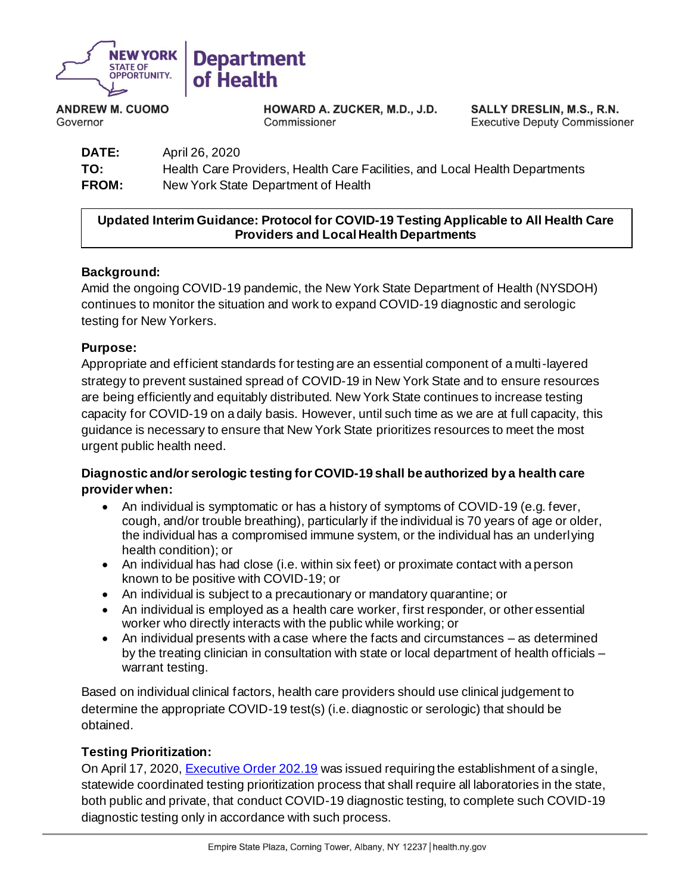

**ANDREW M. CUOMO** Governor

HOWARD A. ZUCKER, M.D., J.D. Commissioner

SALLY DRESLIN, M.S., R.N. **Executive Deputy Commissioner** 

**DATE:** April 26, 2020 **TO:** Health Care Providers, Health Care Facilities, and Local Health Departments **FROM:** New York State Department of Health

## **Updated Interim Guidance: Protocol for COVID-19 Testing Applicable to All Health Care Providers and Local Health Departments**

# **Background:**

Amid the ongoing COVID-19 pandemic, the New York State Department of Health (NYSDOH) continues to monitor the situation and work to expand COVID-19 diagnostic and serologic testing for New Yorkers.

#### **Purpose:**

Appropriate and efficient standards for testing are an essential component of a multi-layered strategy to prevent sustained spread of COVID-19 in New York State and to ensure resources are being efficiently and equitably distributed. New York State continues to increase testing capacity for COVID-19 on a daily basis. However, until such time as we are at full capacity, this guidance is necessary to ensure that New York State prioritizes resources to meet the most urgent public health need.

# **Diagnostic and/or serologic testing for COVID-19 shall be authorized by a health care provider when:**

- An individual is symptomatic or has a history of symptoms of COVID-19 (e.g. fever, cough, and/or trouble breathing), particularly if the individual is 70 years of age or older, the individual has a compromised immune system, or the individual has an underlying health condition); or
- An individual has had close (i.e. within six feet) or proximate contact with a person known to be positive with COVID-19; or
- An individual is subject to a precautionary or mandatory quarantine; or
- An individual is employed as a health care worker, first responder, or other essential worker who directly interacts with the public while working; or
- An individual presents with a case where the facts and circumstances as determined by the treating clinician in consultation with state or local department of health officials – warrant testing.

Based on individual clinical factors, health care providers should use clinical judgement to determine the appropriate COVID-19 test(s) (i.e. diagnostic or serologic) that should be obtained.

#### **Testing Prioritization:**

On April 17, 2020, **Executive Order 202.19** was issued requiring the establishment of a single, statewide coordinated testing prioritization process that shall require all laboratories in the state, both public and private, that conduct COVID-19 diagnostic testing, to complete such COVID-19 diagnostic testing only in accordance with such process.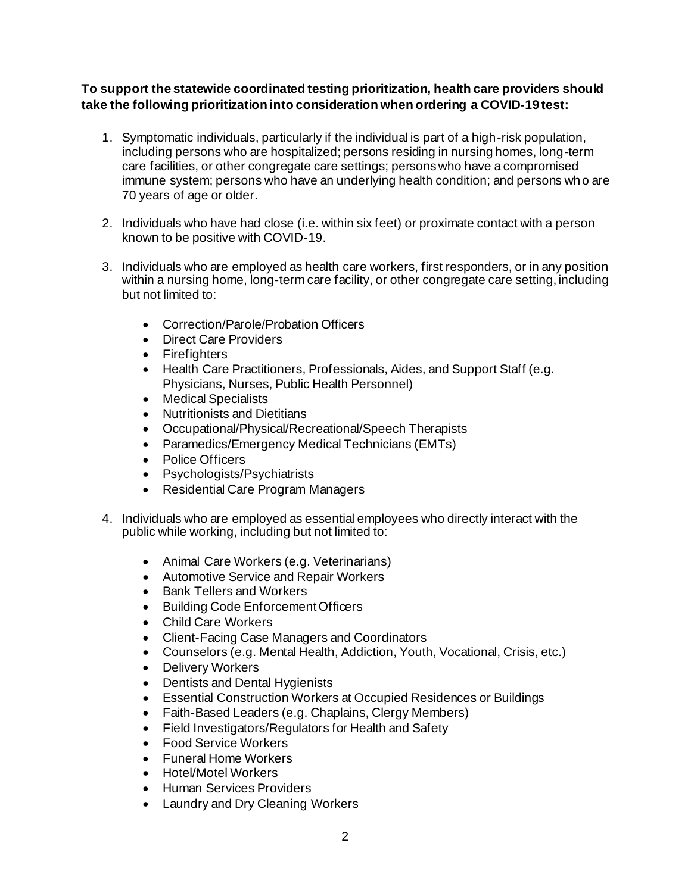## **To support the statewide coordinated testing prioritization, health care providers should take the following prioritization into consideration when ordering a COVID-19 test:**

- 1. Symptomatic individuals, particularly if the individual is part of a high-risk population, including persons who are hospitalized; persons residing in nursing homes, long-term care facilities, or other congregate care settings; persons who have a compromised immune system; persons who have an underlying health condition; and persons who are 70 years of age or older.
- 2. Individuals who have had close (i.e. within six feet) or proximate contact with a person known to be positive with COVID-19.
- 3. Individuals who are employed as health care workers, first responders, or in any position within a nursing home, long-term care facility, or other congregate care setting, including but not limited to:
	- Correction/Parole/Probation Officers
	- Direct Care Providers
	- Firefighters
	- Health Care Practitioners, Professionals, Aides, and Support Staff (e.g. Physicians, Nurses, Public Health Personnel)
	- Medical Specialists
	- Nutritionists and Dietitians
	- Occupational/Physical/Recreational/Speech Therapists
	- Paramedics/Emergency Medical Technicians (EMTs)
	- Police Officers
	- Psychologists/Psychiatrists
	- Residential Care Program Managers
- 4. Individuals who are employed as essential employees who directly interact with the public while working, including but not limited to:
	- Animal Care Workers (e.g. Veterinarians)
	- Automotive Service and Repair Workers
	- Bank Tellers and Workers
	- Building Code Enforcement Officers
	- Child Care Workers
	- Client-Facing Case Managers and Coordinators
	- Counselors (e.g. Mental Health, Addiction, Youth, Vocational, Crisis, etc.)
	- Delivery Workers
	- Dentists and Dental Hygienists
	- Essential Construction Workers at Occupied Residences or Buildings
	- Faith-Based Leaders (e.g. Chaplains, Clergy Members)
	- Field Investigators/Regulators for Health and Safety
	- Food Service Workers
	- Funeral Home Workers
	- Hotel/Motel Workers
	- Human Services Providers
	- Laundry and Dry Cleaning Workers